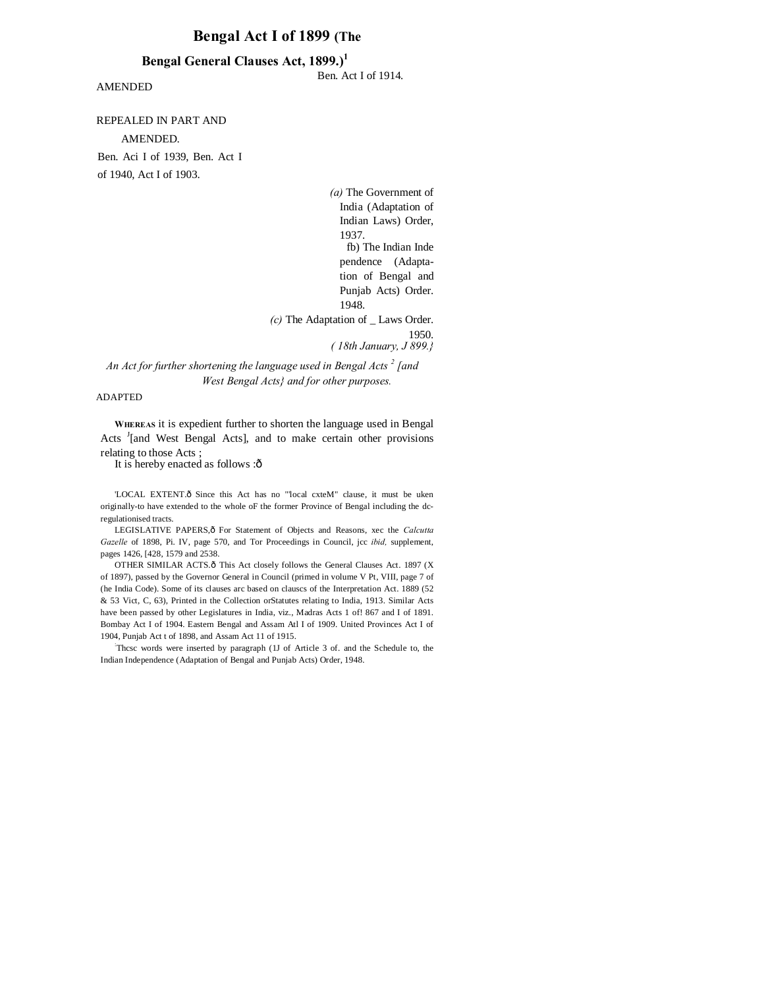# **Bengal Act I of 1899 (The**

# **Bengal General Clauses Act, 1899.)<sup>1</sup>**

## Ben. Act I of 1914.

## AMENDED

REPEALED IN PART AND AMENDED. Ben. Aci I of 1939, Ben. Act I of 1940, Act I of 1903.

> *(a)* The Government of India (Adaptation of Indian Laws) Order, 1937. fb) The Indian Inde pendence (Adaptation of Bengal and Punjab Acts) Order. 1948. *(c)* The Adaptation of \_ Laws Order. 1950. *( 18th January, J 899.}*

*An Act for further shortening the language used in Bengal Acts <sup>2</sup> [and West Bengal Acts} and for other purposes.*

## ADAPTED

**WHEREAS** it is expedient further to shorten the language used in Bengal Acts <sup>J</sup>[and West Bengal Acts], and to make certain other provisions relating to those Acts ;

It is hereby enacted as follows :ô

'LOCAL EXTENT.ô Since this Act has no "'local cxteM" clause, it must be uken originally-to have extended to the whole oF the former Province of Bengal including the dcregulationised tracts.

LEGISLATIVE PAPERS, ô For Statement of Objects and Reasons, xec the *Calcutta Gazelle* of 1898, Pi. IV, page 570, and Tor Proceedings in Council, jcc *ibid,* supplement, pages 1426, [428, 1579 and 2538.

OTHER SIMILAR ACTS.ô This Act closely follows the General Clauses Act. 1897 (X of 1897), passed by the Governor General in Council (primed in volume V Pt, VIII, page 7 of (he India Code). Some of its clauses arc based on clauscs of the Interpretation Act. 1889 (52 & 53 Vict, C, 63), Printed in the Collection orStatutes relating to India, 1913. Similar Acts have been passed by other Legislatures in India, viz., Madras Acts 1 of! 867 and I of 1891. Bombay Act I of 1904. Eastern Bengal and Assam Atl I of 1909. United Provinces Act I of 1904, Punjab Act t of 1898, and Assam Act 11 of 1915.

: Thcsc words were inserted by paragraph (1J of Article 3 of. and the Schedule to, the Indian Independence (Adaptation of Bengal and Punjab Acts) Order, 1948.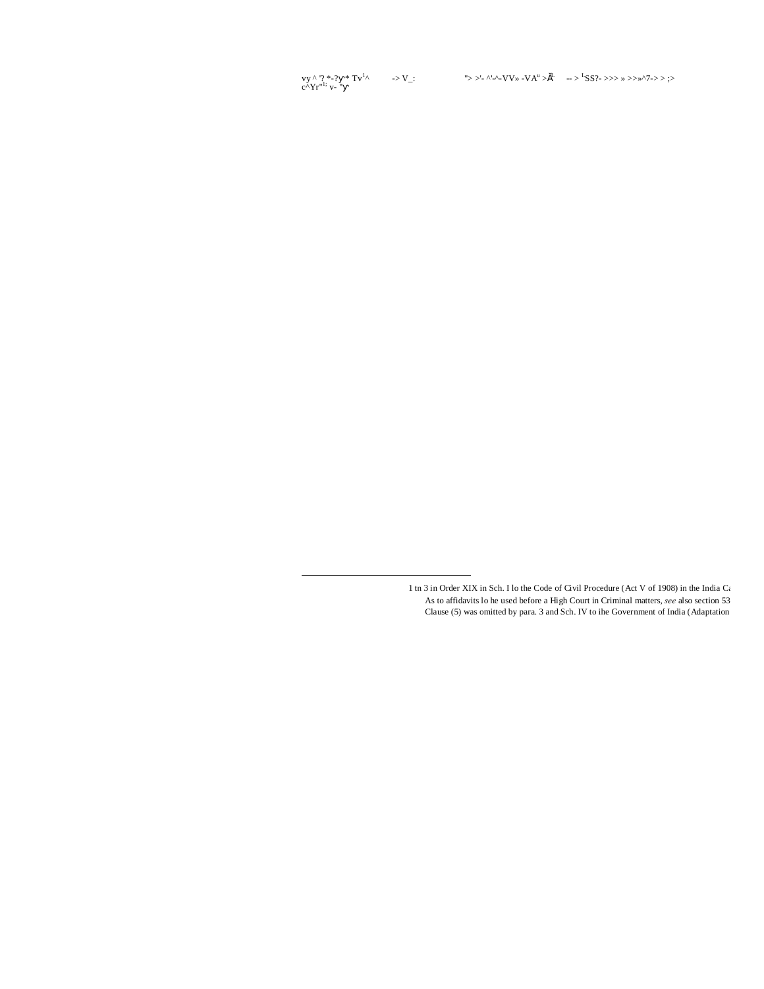vy ^ '? \*-? \* Tv<sup>1</sup>^ -> V\_: ''> >'- ^'-^-VV» -VA<sup>u</sup> >š<sup>L</sup> --> <sup>L</sup>SS?- >>> » >>»^7-> > ;><br>c^Yr"<sup>1;</sup> v- "

1 tn 3 in Order XIX in Sch. I lo the Code of Civil Procedure (Act V of 1908) in the India Ca As to affidavits lo he used before a High Court in Criminal matters, see also section 53 Clause  $(5)$  was omitted by para. 3 and Sch. IV to ihe Government of India (Adaptation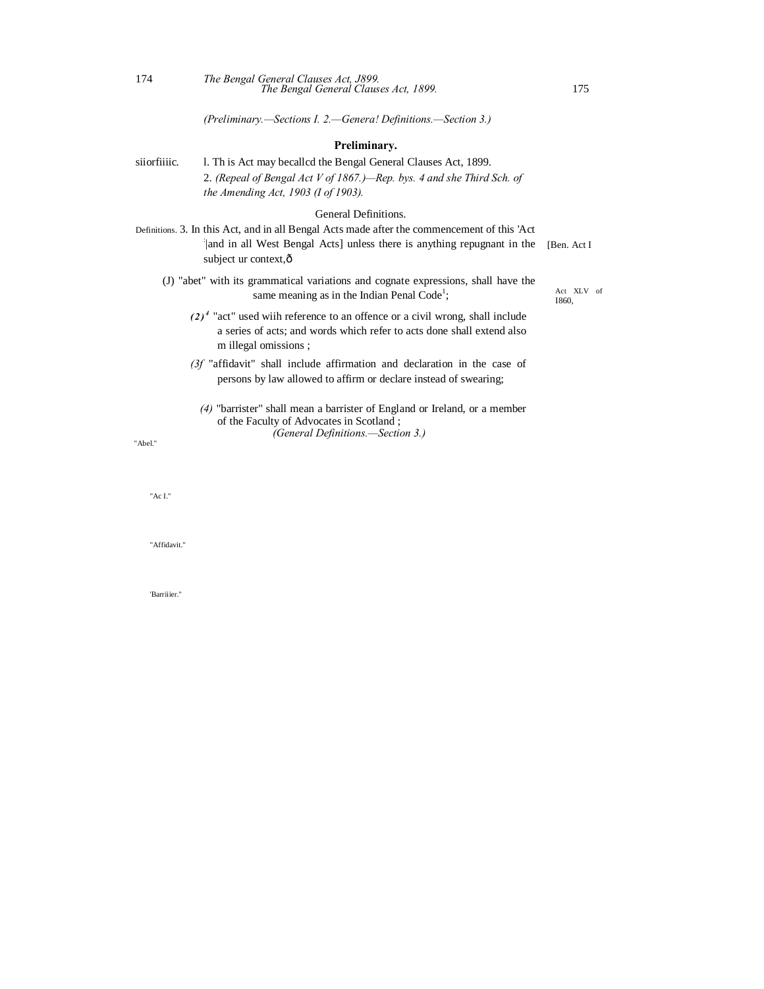*(Preliminary.—Sections I. 2.—Genera! Definitions.—Section 3.)*

#### **Preliminary.**

siiorfiiiic. l. Th is Act may becallcd the Bengal General Clauses Act, 1899. 2. *(Repeal of Bengal Act V of 1867.)—Rep. bys. 4 and she Third Sch. of the Amending Act, 1903 (I of 1903).*

## General Definitions.

- and in all West Bengal Acts] unless there is anything repugnant in the [Ben. Act I Definitions. 3. In this Act, and in all Bengal Acts made after the commencement of this 'Act : subject ur context, ô
	- (J) "abet" with its grammatical variations and cognate expressions, shall have the same meaning as in the Indian Penal Code<sup>1</sup>;
		- $(2)^4$  "act" used with reference to an offence or a civil wrong, shall include a series of acts; and words which refer to acts done shall extend also m illegal omissions ;
		- *(3f* "affidavit" shall include affirmation and declaration in the case of persons by law allowed to affirm or declare instead of swearing;
			- *(4)* "barrister" shall mean a barrister of England or Ireland, or a member of the Faculty of Advocates in Scotland ; *(General Definitions.—Section 3.)*

"Abel."

"Ac I."

"Affidavit."

'Barriiier."

Act XLV of I860,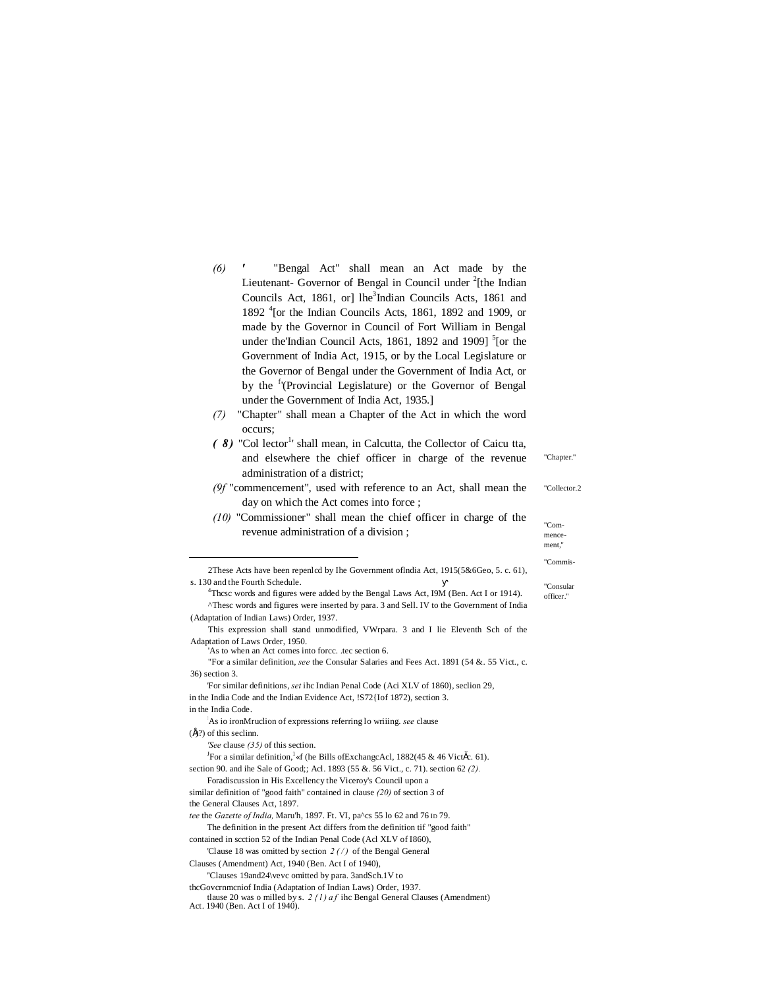- *(6) '* "Bengal Act" shall mean an Act made by the Lieutenant- Governor of Bengal in Council under  $2$ [the Indian Councils Act, 1861, or] lhe<sup>3</sup>Indian Councils Acts, 1861 and 1892 <sup>4</sup> [or the Indian Councils Acts, 1861, 1892 and 1909, or made by the Governor in Council of Fort William in Bengal under the Indian Council Acts, 1861, 1892 and 1909]<sup>5</sup> [or the Government of India Act, 1915, or by the Local Legislature or the Governor of Bengal under the Government of India Act, or by the <sup>f</sup>'(Provincial Legislature) or the Governor of Bengal under the Government of India Act, 1935.]
- *(7)* "Chapter" shall mean a Chapter of the Act in which the word occurs;
- (8) "Col lector<sup>1</sup>' shall mean, in Calcutta, the Collector of Caicu tta, and elsewhere the chief officer in charge of the revenue administration of a district;
- *(9f* "commencement", used with reference to an Act, shall mean the day on which the Act comes into force ;
- *(10)* "Commissioner" shall mean the chief officer in charge of the revenue administration of a division ;

This expression shall stand unmodified, VWrpara. 3 and I lie Eleventh Sch of the Adaptation of Laws Order, 1950.

'As to when an Act comes into forcc. .tec section 6.

"For a similar definition, *see* the Consular Salaries and Fees Act. 1891 (54 &. 55 Vict., c. 36) section 3.

'For similar definitions, *set* ihc Indian Penal Code (Aci XLV of 1860), seclion 29, in the India Code and the Indian Evidence Act, !S72{Iof 1872), section 3.

in the India Code.

: As io ironMruclion of expressions referring lo wriiing. *see* clause

 $(\hat{H}^{\gamma})$  of this seclinn.

*'See* clause *(35)* of this section.

For a similar definition,  $\frac{1}{4}$  (he Bills of ExchangcAcl, 1882(45 & 46 Vict isc. 61). section 90. and ihe Sale of Good;; Acl. 1893 (55 &. 56 Vict., c. 71). section 62 *(2).*

Foradiscussion in His Excellency the Viceroy's Council upon a similar definition of "good faith" contained in clause *(20)* of section 3 of

the General Clauses Act, 1897.

*tee* the *Gazette of India,* Maru'h, 1897. Ft. VI, pa^cs 55 lo 62 and 76 ID 79.

The definition in the present Act differs from the definition tif "good faith"

contained in scction 52 of the Indian Penal Code (Acl XLV of I860),

- 'Clause 18 was omitted by section *2 ( / )* of the Bengal General
- Clauses (Amendment) Act, 1940 (Ben. Act I of 1940),
	- ''Clauses 19and24\vevc omitted by para. 3andSch.1V to

"Commis-

"Commencement,"

"Chapter."

"Collector.2

"Consular officer."

 <sup>2</sup>These Acts have been repenlcd by Ihe Government oflndia Act, 1915(5&6Geo, 5. c. 61), s. 130 and the Fourth Schedule.

<sup>&</sup>lt;sup>4</sup>Thcsc words and figures were added by the Bengal Laws Act, I9M (Ben. Act I or 1914). ^Thesc words and figures were inserted by para. 3 and Sell. IV to the Government of India (Adaptation of Indian Laws) Order, 1937.

thcGovcrnmcniof India (Adaptation of Indian Laws) Order, 1937. tlause 20 was o milled by s.  $2 \{ l \}$  af ihc Bengal General Clauses (Amendment) Act. 1940 (Ben. Act I of 1940).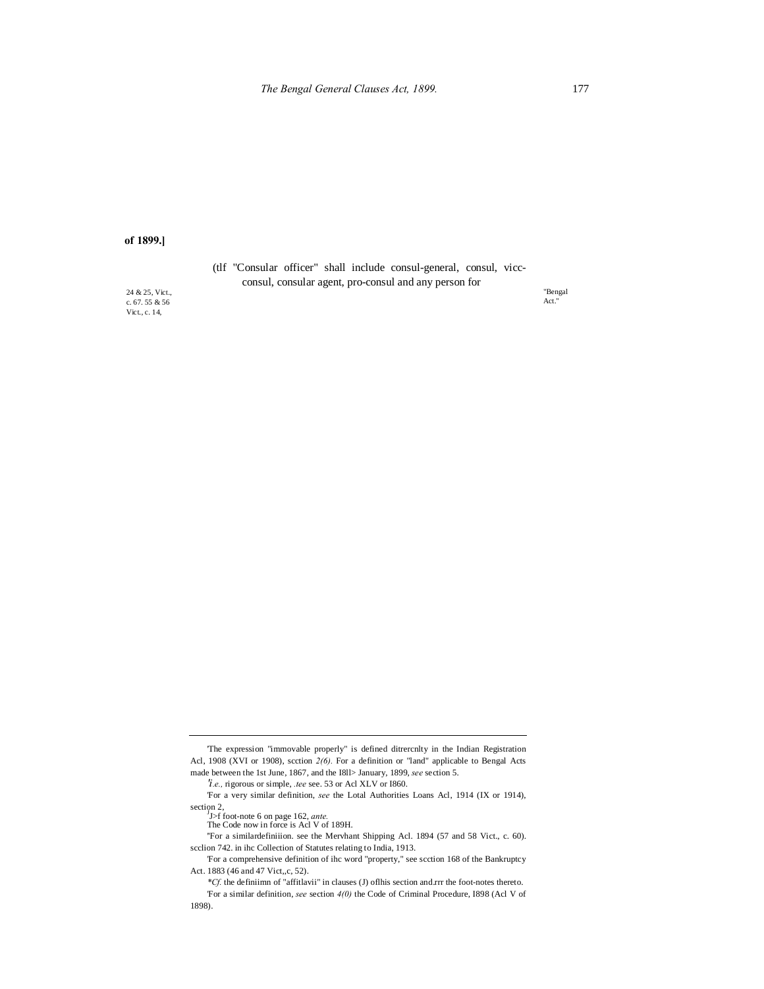## **of 1899.]**

(tlf "Consular officer" shall include consul-general, consul, viccconsul, consular agent, pro-consul and any person for

24 & 25, Vict., c. 67. 55 & 56 Vict., c. 14,

"Bengal Act."

*'i.e.,* rigorous or simple, *.tee* see. 53 or Acl XLV or I860.

 <sup>&#</sup>x27;The expression "immovable properly" is defined ditrercnlty in the Indian Registration Acl, 1908 (XVI or 1908), scction *2(6).* For a definition or "land" applicable to Bengal Acts made between the 1st June, 1867, and the I8ll> January, 1899, *see* section 5.

<sup>&#</sup>x27;For a very similar definition, *see* the Lotal Authorities Loans Acl, 1914 (IX or 1914), section 2,<br><sup>J</sup>J>f foot-note 6 on page 162, *ante*.<br>The Code now in force is Acl V of 189H.

<sup>&#</sup>x27;'For a similardefiniiion. see the Mervhant Shipping Acl. 1894 (57 and 58 Vict., c. 60).

scclion 742. in ihc Collection of Statutes relating to India, 1913.

<sup>&#</sup>x27;For a comprehensive definition of ihc word "property," see scction 168 of the Bankruptcy Act. 1883 (46 and 47 Vict,,c, 52).

*<sup>\*</sup>Cf.* the definiimn of "affitlavii" in clauses (J) oflhis section and.rrr the foot-notes thereto. 'For a similar definition, *see* section *4(0)* the Code of Criminal Procedure, I898 (Acl V of 1898).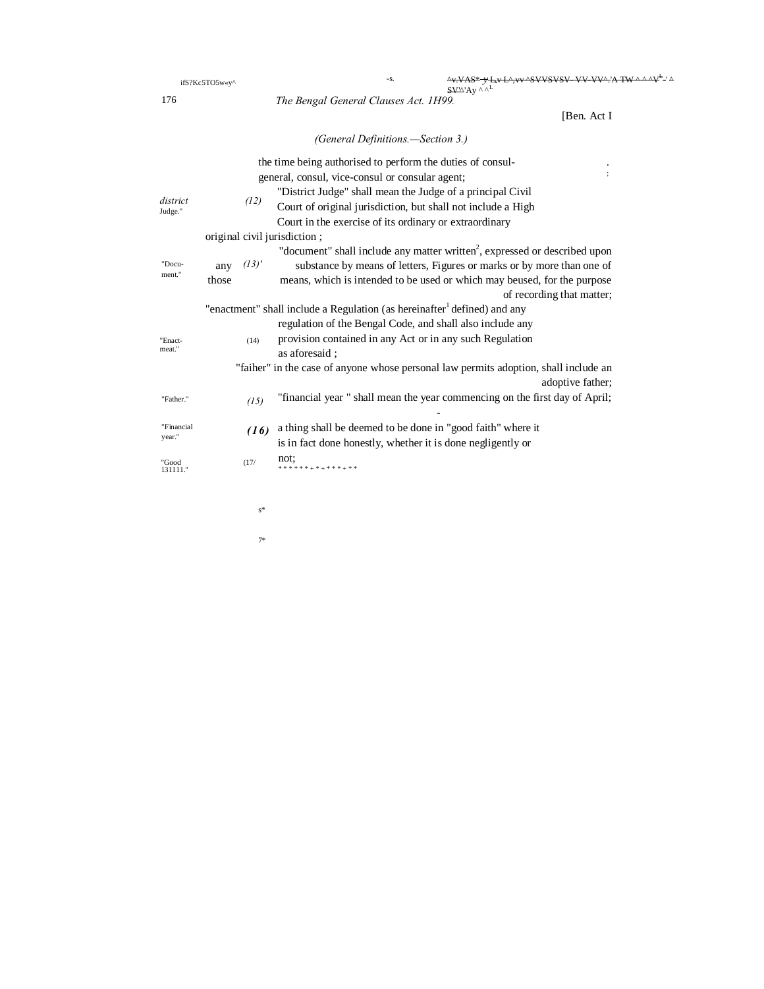| ifS?Kc5TO5w«y^       |                              | <u>Ay VAS* + Ly LA vy ASVVSVSV VV VVA 'A TW A AAV<sup>L</sup> ' A</u><br>$-S.$         |
|----------------------|------------------------------|----------------------------------------------------------------------------------------|
| 176                  |                              | $S V^{\prime\Delta'} A_V \wedge \wedge^L$<br>The Bengal General Clauses Act. 1H99.     |
|                      |                              | [Ben. Act I                                                                            |
|                      |                              | (General Definitions.—Section 3.)                                                      |
|                      |                              | the time being authorised to perform the duties of consul-                             |
|                      |                              | general, consul, vice-consul or consular agent;                                        |
|                      |                              | "District Judge" shall mean the Judge of a principal Civil                             |
| district<br>Judge."  | (12)                         | Court of original jurisdiction, but shall not include a High                           |
|                      |                              | Court in the exercise of its ordinary or extraordinary                                 |
|                      | original civil jurisdiction; |                                                                                        |
|                      |                              | "document" shall include any matter written <sup>2</sup> , expressed or described upon |
| "Docu-               | (13)'<br>any                 | substance by means of letters, Figures or marks or by more than one of                 |
| ment."               | those                        | means, which is intended to be used or which may be used, for the purpose              |
|                      |                              | of recording that matter;                                                              |
|                      |                              | "enactment" shall include a Regulation (as hereinafter defined) and any                |
|                      |                              | regulation of the Bengal Code, and shall also include any                              |
| "Enact-              | (14)                         | provision contained in any Act or in any such Regulation                               |
| meat."               |                              | as aforesaid ;                                                                         |
|                      |                              | "faiher" in the case of anyone whose personal law permits adoption, shall include an   |
|                      |                              | adoptive father;                                                                       |
| "Father."            | (15)                         | "financial year" shall mean the year commencing on the first day of April;             |
| "Financial<br>year." | (16)                         | a thing shall be deemed to be done in "good faith" where it                            |
|                      |                              | is in fact done honestly, whether it is done negligently or                            |
| "Good<br>131111"     | (17/                         | not:<br>******+****+**                                                                 |

"Good (17/ 131111."

 $\mathbf{s}^*$ 

7\*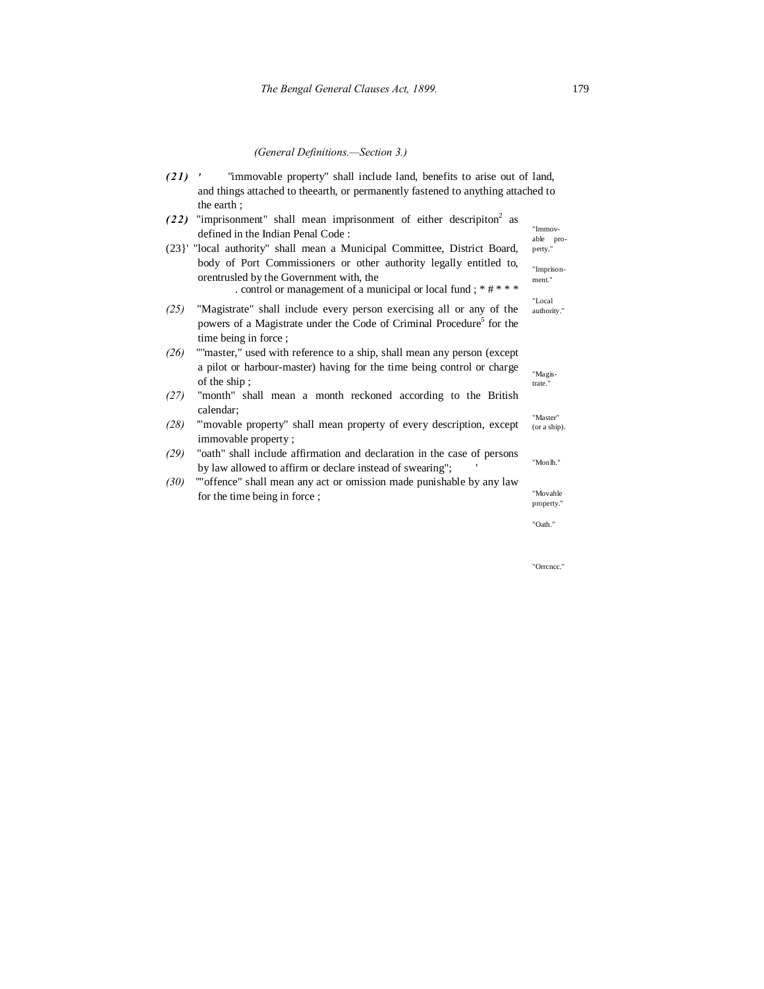*(General Definitions.—Section 3.)*

| (21) | "immovable property" shall include land, benefits to arise out of land,                                                                                  |                          |
|------|----------------------------------------------------------------------------------------------------------------------------------------------------------|--------------------------|
|      | and things attached to the earth, or permanently fastened to anything attached to                                                                        |                          |
|      | the earth:                                                                                                                                               |                          |
| (22) | "imprisonment" shall mean imprisonment of either descripiton <sup>2</sup> as<br>defined in the Indian Penal Code:                                        | "Immov-<br>able pro-     |
|      | (23)' "local authority" shall mean a Municipal Committee, District Board,                                                                                | perty."                  |
|      | body of Port Commissioners or other authority legally entitled to,<br>orentrusled by the Government with, the                                            | "Imprison-               |
|      | . control or management of a municipal or local fund; $*$ # $*$                                                                                          | ment."                   |
| (25) | "Magistrate" shall include every person exercising all or any of the<br>powers of a Magistrate under the Code of Criminal Procedure <sup>5</sup> for the | "Local<br>authority."    |
|      | time being in force;                                                                                                                                     |                          |
| (26) | "'master," used with reference to a ship, shall mean any person (except                                                                                  |                          |
|      | a pilot or harbour-master) having for the time being control or charge                                                                                   |                          |
|      | of the ship;                                                                                                                                             | "Magis-<br>trate."       |
| (27) | "month" shall mean a month reckoned according to the British                                                                                             |                          |
|      | calendar:                                                                                                                                                |                          |
| (28) | "movable property" shall mean property of every description, except                                                                                      | "Master"<br>(or a ship). |
|      | immovable property;                                                                                                                                      |                          |
| (29) | "oath" shall include affirmation and declaration in the case of persons                                                                                  |                          |
|      | by law allowed to affirm or declare instead of swearing";                                                                                                | "Monlh."                 |
| (30) | "" offence" shall mean any act or omission made punishable by any law                                                                                    |                          |
|      | for the time being in force;                                                                                                                             | "Movahle<br>property."   |
|      |                                                                                                                                                          | "Oath."                  |

"Orrcncc."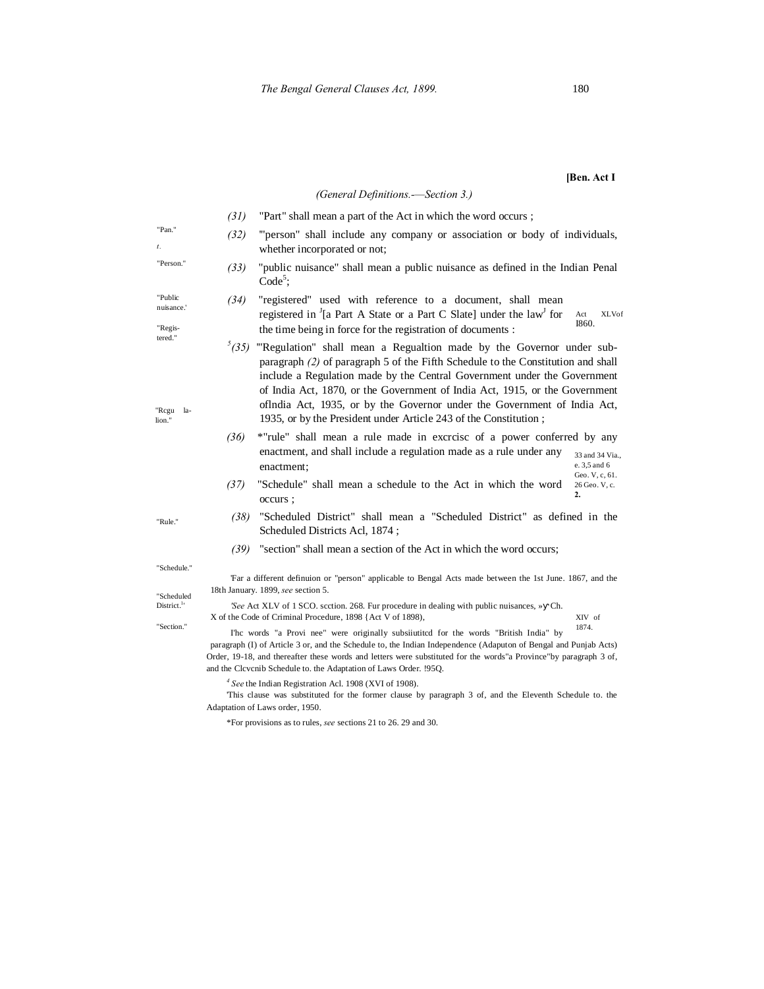# **[Ben. Act I**

*(General Definitions.-—Section 3.)*

|                                        | (31)                                                                                                                                                                                                                                                                                                                                                                                                            | "Part" shall mean a part of the Act in which the word occurs;                                                                                                                                                                                                                                                                                                                                                                                                       |  |  |  |
|----------------------------------------|-----------------------------------------------------------------------------------------------------------------------------------------------------------------------------------------------------------------------------------------------------------------------------------------------------------------------------------------------------------------------------------------------------------------|---------------------------------------------------------------------------------------------------------------------------------------------------------------------------------------------------------------------------------------------------------------------------------------------------------------------------------------------------------------------------------------------------------------------------------------------------------------------|--|--|--|
| "Pan."<br>t.                           | (32)                                                                                                                                                                                                                                                                                                                                                                                                            | "person" shall include any company or association or body of individuals,<br>whether incorporated or not;                                                                                                                                                                                                                                                                                                                                                           |  |  |  |
| "Person."                              | (33)                                                                                                                                                                                                                                                                                                                                                                                                            | "public nuisance" shall mean a public nuisance as defined in the Indian Penal<br>$Code5$ ;                                                                                                                                                                                                                                                                                                                                                                          |  |  |  |
| "Public<br>nuisance.'<br>"Regis-       | (34)                                                                                                                                                                                                                                                                                                                                                                                                            | "registered" used with reference to a document, shall mean<br>registered in <sup>J</sup> [a Part A State or a Part C Slate] under the law <sup>J</sup> for<br>Act<br><b>XLVof</b><br>I860.<br>the time being in force for the registration of documents :                                                                                                                                                                                                           |  |  |  |
| tered."<br>"Regu la-<br>lion."         | $^{5}(35)$                                                                                                                                                                                                                                                                                                                                                                                                      | "Regulation" shall mean a Regualtion made by the Governor under sub-<br>paragraph (2) of paragraph 5 of the Fifth Schedule to the Constitution and shall<br>include a Regulation made by the Central Government under the Government<br>of India Act, 1870, or the Government of India Act, 1915, or the Government<br>ofIndia Act, 1935, or by the Governor under the Government of India Act,<br>1935, or by the President under Article 243 of the Constitution; |  |  |  |
|                                        | (36)                                                                                                                                                                                                                                                                                                                                                                                                            | *"rule" shall mean a rule made in excrcisc of a power conferred by any<br>enactment, and shall include a regulation made as a rule under any<br>33 and 34 Via.,<br>e. 3,5 and 6<br>enactment;                                                                                                                                                                                                                                                                       |  |  |  |
|                                        | (37)                                                                                                                                                                                                                                                                                                                                                                                                            | Geo. V, c, 61.<br>"Schedule" shall mean a schedule to the Act in which the word<br>26 Geo. V, c.<br>2.<br>occurs;                                                                                                                                                                                                                                                                                                                                                   |  |  |  |
| "Rule."                                | (38)                                                                                                                                                                                                                                                                                                                                                                                                            | "Scheduled District" shall mean a "Scheduled District" as defined in the<br>Scheduled Districts Acl, 1874;                                                                                                                                                                                                                                                                                                                                                          |  |  |  |
|                                        | (39)                                                                                                                                                                                                                                                                                                                                                                                                            | "section" shall mean a section of the Act in which the word occurs;                                                                                                                                                                                                                                                                                                                                                                                                 |  |  |  |
| "Schedule."<br>"Scheduled              | Far a different definuion or "person" applicable to Bengal Acts made between the 1st June. 1867, and the<br>18th January. 1899, see section 5.                                                                                                                                                                                                                                                                  |                                                                                                                                                                                                                                                                                                                                                                                                                                                                     |  |  |  |
| District. <sup>1</sup> '<br>"Section." |                                                                                                                                                                                                                                                                                                                                                                                                                 | See Act XLV of 1 SCO. scction. 268. Fur procedure in dealing with public nuisances, » Ch.<br>X of the Code of Criminal Procedure, 1898 {Act V of 1898},<br>XIV of                                                                                                                                                                                                                                                                                                   |  |  |  |
|                                        | 1874.<br>I'hc words "a Provi nee" were originally subsituation for the words "British India" by<br>paragraph (I) of Article 3 or, and the Schedule to, the Indian Independence (Adaputon of Bengal and Punjab Acts)<br>Order, 19-18, and thereafter these words and letters were substituted for the words" a Province" by paragraph 3 of,<br>and the Clevenib Schedule to. the Adaptation of Laws Order. 195Q. |                                                                                                                                                                                                                                                                                                                                                                                                                                                                     |  |  |  |
|                                        | $4$ See the Indian Registration Acl. 1908 (XVI of 1908).<br>This clause was substituted for the former clause by paragraph 3 of, and the Eleventh Schedule to. the<br>Adaptation of Laws order, 1950.                                                                                                                                                                                                           |                                                                                                                                                                                                                                                                                                                                                                                                                                                                     |  |  |  |
|                                        |                                                                                                                                                                                                                                                                                                                                                                                                                 | *For provisions as to rules, see sections 21 to 26, 29 and 30.                                                                                                                                                                                                                                                                                                                                                                                                      |  |  |  |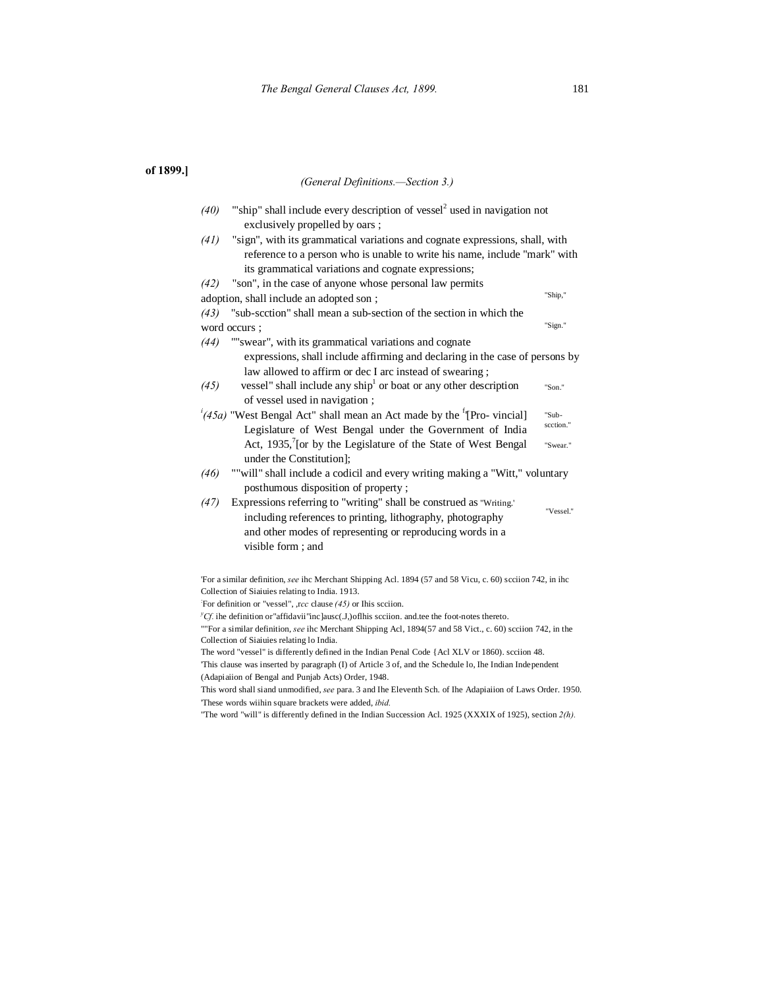## **of 1899.]**

## *(General Definitions.—Section 3.)*

| "ship" shall include every description of vessel <sup>2</sup> used in navigation not<br>(40)                                                                                                                         |                    |  |  |
|----------------------------------------------------------------------------------------------------------------------------------------------------------------------------------------------------------------------|--------------------|--|--|
| exclusively propelled by oars;                                                                                                                                                                                       |                    |  |  |
| (41)<br>"sign", with its grammatical variations and cognate expressions, shall, with                                                                                                                                 |                    |  |  |
| reference to a person who is unable to write his name, include "mark" with                                                                                                                                           |                    |  |  |
| its grammatical variations and cognate expressions;                                                                                                                                                                  |                    |  |  |
| "son", in the case of anyone whose personal law permits<br>(42)                                                                                                                                                      |                    |  |  |
| adoption, shall include an adopted son;                                                                                                                                                                              | "Ship,"            |  |  |
| "sub-scction" shall mean a sub-section of the section in which the<br>(43)                                                                                                                                           |                    |  |  |
| word occurs;                                                                                                                                                                                                         | "Sign."            |  |  |
| ""swear", with its grammatical variations and cognate<br>(44)                                                                                                                                                        |                    |  |  |
| expressions, shall include affirming and declaring in the case of persons by                                                                                                                                         |                    |  |  |
| law allowed to affirm or dec I arc instead of swearing;                                                                                                                                                              |                    |  |  |
| vessel" shall include any ship $\ln b$ or boat or any other description<br>(45)                                                                                                                                      | "Son."             |  |  |
| of vessel used in navigation;                                                                                                                                                                                        |                    |  |  |
| $^{i}(45a)$ "West Bengal Act" shall mean an Act made by the <sup>f</sup> [Pro- vincial]                                                                                                                              | "Sub-<br>scction." |  |  |
| Legislature of West Bengal under the Government of India                                                                                                                                                             |                    |  |  |
| Act, $1935$ , $7$ [or by the Legislature of the State of West Bengal                                                                                                                                                 | "Swear."           |  |  |
| under the Constitution];                                                                                                                                                                                             |                    |  |  |
| ""will" shall include a codicil and every writing making a "Witt," voluntary<br>(46)                                                                                                                                 |                    |  |  |
| posthumous disposition of property;                                                                                                                                                                                  |                    |  |  |
| (47)<br>Expressions referring to "writing" shall be construed as "Writing."                                                                                                                                          | "Vessel."          |  |  |
| including references to printing, lithography, photography                                                                                                                                                           |                    |  |  |
| and other modes of representing or reproducing words in a                                                                                                                                                            |                    |  |  |
| visible form; and                                                                                                                                                                                                    |                    |  |  |
|                                                                                                                                                                                                                      |                    |  |  |
| For a similar definition, see ihc Merchant Shipping Acl. 1894 (57 and 58 Vicu, c. 60) scciion 742, in ihc                                                                                                            |                    |  |  |
| Collection of Siaiuies relating to India. 1913.                                                                                                                                                                      |                    |  |  |
| For definition or "vessel", $\text{rcc}$ clause (45) or Ihis scciion.                                                                                                                                                |                    |  |  |
| $C^yC^f$ , ihe definition or "affidavii "inc]ausc(.J,)oflhis scciion. and tee the foot-notes thereto.<br>"'For a similar definition, see ihc Merchant Shipping Acl, 1894(57 and 58 Vict., c. 60) scciion 742, in the |                    |  |  |

Collection of Siaiuies relating lo India.

The word "vessel" is differently defined in the Indian Penal Code {Acl XLV or 1860). scciion 48.

'This clause was inserted by paragraph (I) of Article 3 of, and the Schedule lo, Ihe Indian Independent (Adapiaiion of Bengal and Punjab Acts) Order, 1948.

This word shall siand unmodified, *see* para. 3 and Ihe Eleventh Sch. of Ihe Adapiaiion of Laws Order. 1950. 'These words wiihin square brackets were added, *ibid.*

"The word "will" is differently defined in the Indian Succession Acl. 1925 (XXXIX of 1925), section *2(h).*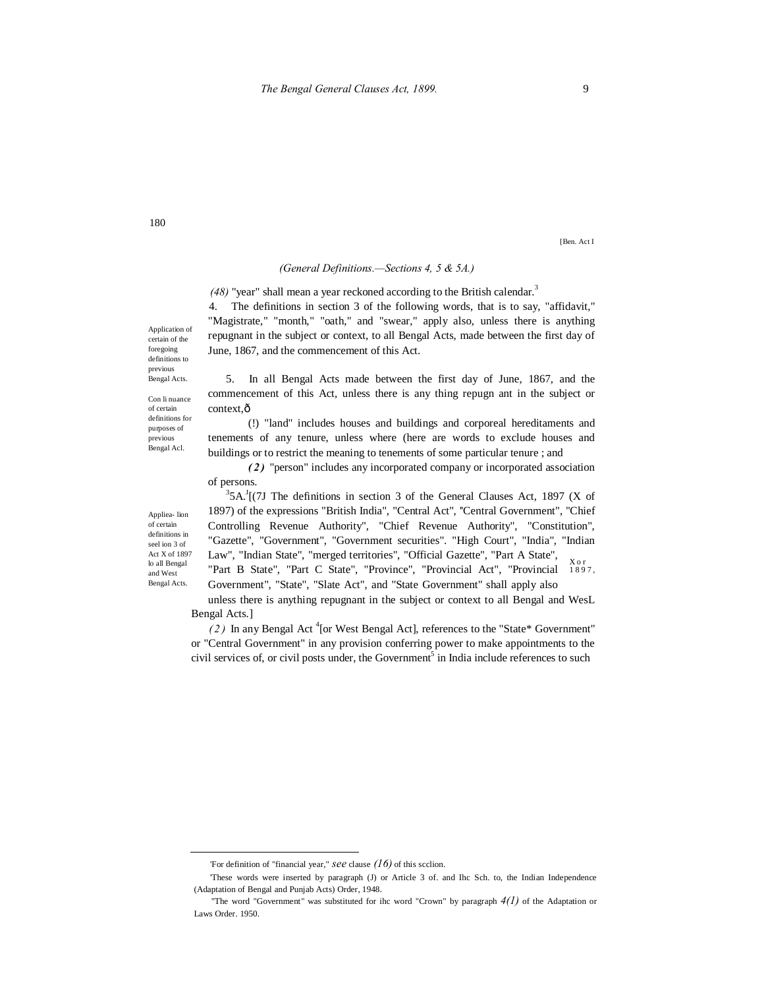[Ben. Act I

## *(General Definitions.—Sections 4, 5 & 5A.)*

*(48)* "year" shall mean a year reckoned according to the British calendar.<sup>3</sup>

4. The definitions in section 3 of the following words, that is to say, "affidavit," "Magistrate," "month," "oath," and "swear," apply also, unless there is anything repugnant in the subject or context, to all Bengal Acts, made between the first day of June, 1867, and the commencement of this Act.

5. In all Bengal Acts made between the first day of June, 1867, and the commencement of this Act, unless there is any thing repugn ant in the subject or context.ô

(!) "land" includes houses and buildings and corporeal hereditaments and tenements of any tenure, unless where (here are words to exclude houses and buildings or to restrict the meaning to tenements of some particular tenure ; and

*( 2 )* "person" includes any incorporated company or incorporated association of persons.

X o r 1 8 9 7 ,  $35A$ <sup>3</sup>[(7J The definitions in section 3 of the General Clauses Act, 1897 (X of 1897) of the expressions "British India", "Central Act", "Central Government", "Chief Controlling Revenue Authority", "Chief Revenue Authority", "Constitution", "Gazette", "Government", "Government securities". "High Court", "India", "Indian Law", "Indian State", "merged territories", "Official Gazette", "Part A State", "Part B State", "Part C State", "Province", "Provincial Act", "Provincial

Government", "State", "Slate Act", and "State Government" shall apply also

unless there is anything repugnant in the subject or context to all Bengal and WesL Bengal Acts.]

(2) In any Bengal Act<sup>4</sup> [or West Bengal Act], references to the "State\* Government" or "Central Government" in any provision conferring power to make appointments to the civil services of, or civil posts under, the Government<sup>5</sup> in India include references to such

Application of certain of the foregoing definitions to previous Bengal Acts.

Con li nuance of certain definitions for purposes of previous Bengal Acl.

Appliea- lion of certain definitions in seel ion 3 of Act X of 1897 lo all Bengal and West Bengal Acts.

 <sup>&#</sup>x27;For definition of "financial year," *see* clause *(16)* of this scclion.

<sup>&#</sup>x27;These words were inserted by paragraph (J) or Article 3 of. and Ihc Sch. to, the Indian Independence (Adaptation of Bengal and Punjab Acts) Order, 1948.

<sup>&</sup>quot;The word "Government" was substituted for ihc word "Crown" by paragraph *4(1)* of the Adaptation or Laws Order. 1950.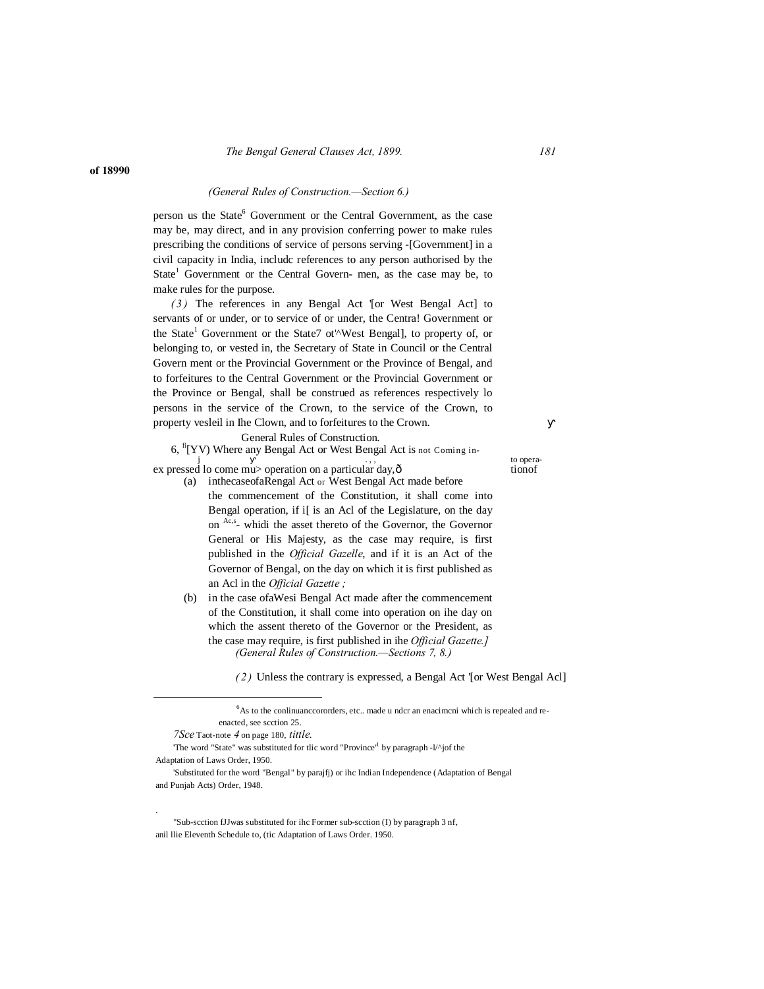#### *The Bengal General Clauses Act, 1899. 181*

#### **of 18990**

## *(General Rules of Construction.—Section 6.)*

person us the State<sup>6</sup> Government or the Central Government, as the case may be, may direct, and in any provision conferring power to make rules prescribing the conditions of service of persons serving -[Government] in a civil capacity in India, includc references to any person authorised by the  $State<sup>1</sup> Government or the Central Government of the Central Government.$ make rules for the purpose.

*( 3 )* The references in any Bengal Act '[or West Bengal Act] to servants of or under, or to service of or under, the Centra! Government or the State<sup>1</sup> Government or the State7 ot <sup>'N</sup>West Bengal], to property of, or belonging to, or vested in, the Secretary of State in Council or the Central Govern ment or the Provincial Government or the Province of Bengal, and to forfeitures to the Central Government or the Provincial Government or the Province or Bengal, shall be construed as references respectively lo persons in the service of the Crown, to the service of the Crown, to property vesleil in Ihe Clown, and to forfeitures to the Crown.

General Rules of Construction.

6, <sup>fi</sup>[YV) Where any Bengal Act or West Bengal Act is not Coming in-

j . , , to opera-ex pressed lo come mu> operation on a particular day,— tionof

- (a) inthecaseofaRengal Act or West Bengal Act made before the commencement of the Constitution, it shall come into Bengal operation, if if is an Acl of the Legislature, on the day on <sup>Ac,s</sup>- whidi the asset thereto of the Governor, the Governor General or His Majesty, as the case may require, is first published in the *Official Gazelle*, and if it is an Act of the Governor of Bengal, on the day on which it is first published as an Acl in the *Official Gazette ;*
- (b) in the case ofaWesi Bengal Act made after the commencement of the Constitution, it shall come into operation on ihe day on which the assent thereto of the Governor or the President, as the case may require, is first published in ihe *Official Gazette.] (General Rules of Construction.—Sections 7, 8.)*

*(2)* Unless the contrary is expressed, a Bengal Act '[or West Bengal Acl]

.

'The word "State" was substituted for tlic word "Province'1 by paragraph -l/^jof the Adaptation of Laws Order, 1950.

'Substituted for the word "Bengal" by parajfj) or ihc Indian Independence (Adaptation of Bengal and Punjab Acts) Order, 1948.

"Sub-scction fJJwas substituted for ihc Former sub-scction (I) by paragraph 3 nf, anil llie Eleventh Schedule to, (tic Adaptation of Laws Order. 1950.

 $\overline{\phantom{a}}$ <sup>6</sup>As to the conlinuanccororders, etc.. made u ndcr an enacimcni which is repealed and reenacted, see scction 25.

*<sup>7</sup>Sce* Taot-note *4* on page 180, *tittle.*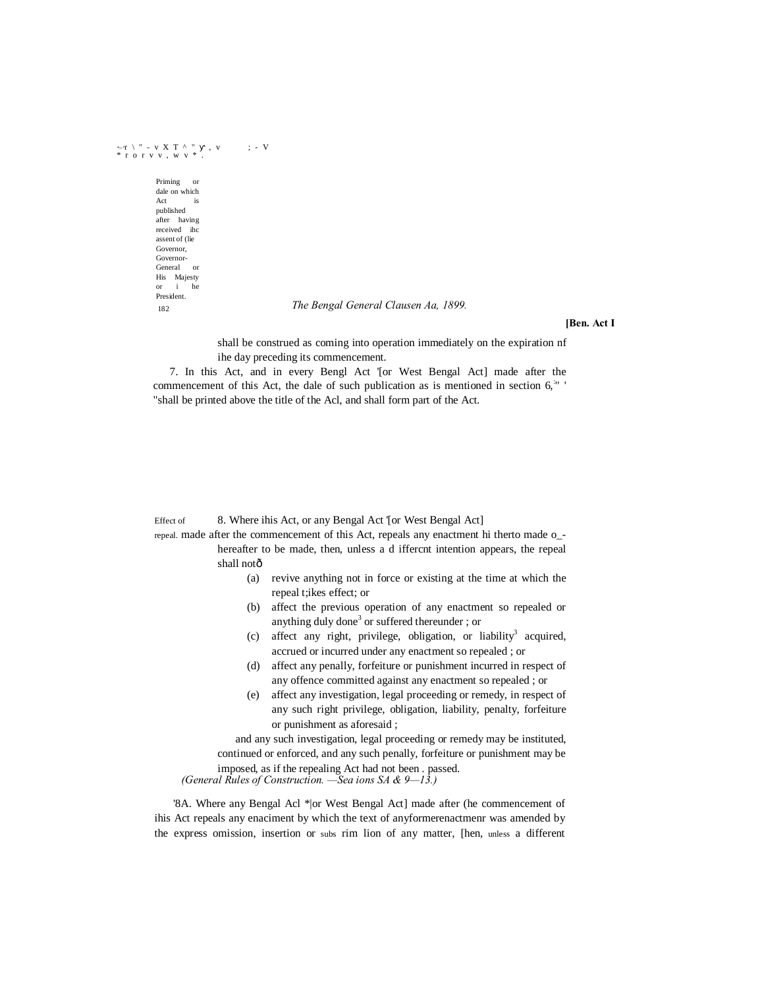# *\*>"*<sup>r</sup> \ " - v X T ^ " , v ; - V \* r o r v v , w v \* .

Priming or dale on which Act published after having received ihc assent of (lie Governor, Governor-General or His Majesty or President. 182

*The Bengal General Clausen Aa, 1899.*

**[Ben. Act I**

shall be construed as coming into operation immediately on the expiration nf ihe day preceding its commencement.

7. In this Act, and in every Bengl Act '[or West Bengal Act] made after the commencement of this Act, the dale of such publication as is mentioned in section  $6$ ,  $\cdot$ "shall be printed above the title of the Acl, and shall form part of the Act.

Effect of 8. Where ihis Act, or any Bengal Act '[or West Bengal Act]

repeal. made after the commencement of this Act, repeals any enactment hi therto made o\_-

hereafter to be made, then, unless a d iffercnt intention appears, the repeal shall notô

- (a) revive anything not in force or existing at the time at which the repeal t;ikes effect; or
- (b) affect the previous operation of any enactment so repealed or anything duly done<sup>3</sup> or suffered thereunder; or
- (c) affect any right, privilege, obligation, or liability<sup>3</sup> acquired, accrued or incurred under any enactment so repealed ; or
- (d) affect any penally, forfeiture or punishment incurred in respect of any offence committed against any enactment so repealed ; or
- (e) affect any investigation, legal proceeding or remedy, in respect of any such right privilege, obligation, liability, penalty, forfeiture or punishment as aforesaid ;

and any such investigation, legal proceeding or remedy may be instituted, continued or enforced, and any such penally, forfeiture or punishment may be imposed, as if the repealing Act had not been . passed.

*(General Rules of Construction. —Sea ions SA & 9—13.)*

'8A. Where any Bengal Acl \*|or West Bengal Act] made after (he commencement of ihis Act repeals any enaciment by which the text of anyformerenactmenr was amended by the express omission, insertion or subs rim lion of any matter, [hen, unless a different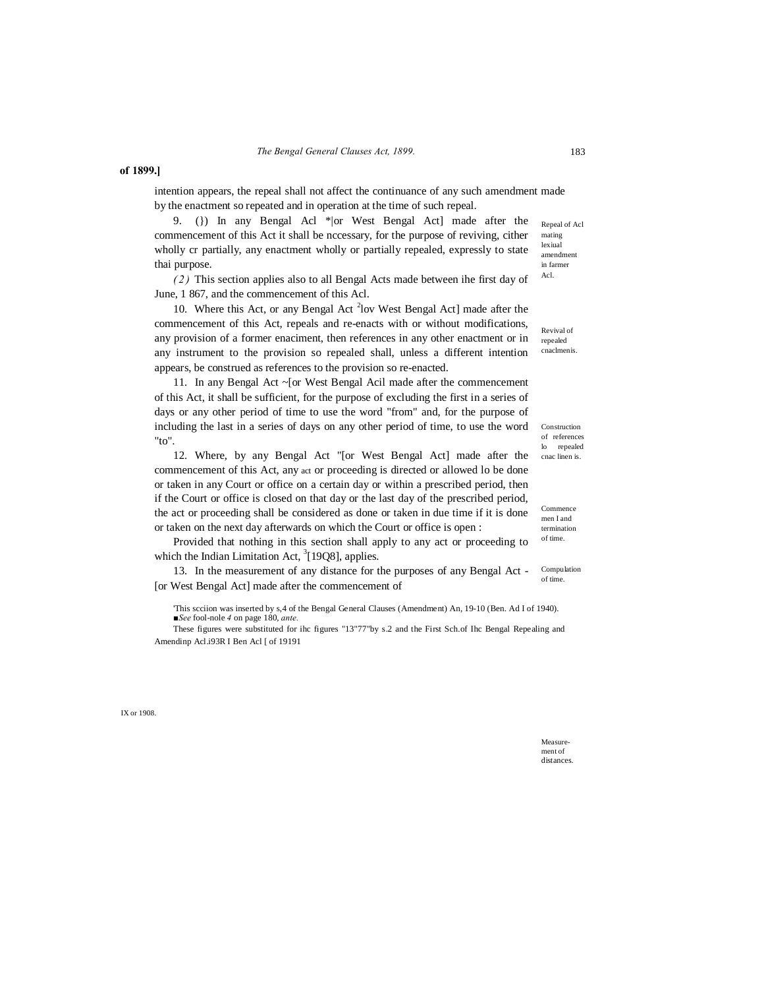#### **of 1899.]**

intention appears, the repeal shall not affect the continuance of any such amendment made by the enactment so repeated and in operation at the time of such repeal.

9. (}) In any Bengal Acl \*|or West Bengal Act] made after the commencement of this Act it shall be nccessary, for the purpose of reviving, cither wholly cr partially, any enactment wholly or partially repealed, expressly to state thai purpose.

*( 2 )* This section applies also to all Bengal Acts made between ihe first day of June, 1 867, and the commencement of this Acl.

10. Where this Act, or any Bengal Act <sup>2</sup>lov West Bengal Act] made after the commencement of this Act, repeals and re-enacts with or without modifications, any provision of a former enaciment, then references in any other enactment or in any instrument to the provision so repealed shall, unless a different intention appears, be construed as references to the provision so re-enacted.

11. In any Bengal Act ~[or West Bengal Acil made after the commencement of this Act, it shall be sufficient, for the purpose of excluding the first in a series of days or any other period of time to use the word "from" and, for the purpose of including the last in a series of days on any other period of time, to use the word "to".

12. Where, by any Bengal Act "[or West Bengal Act] made after the commencement of this Act, any act or proceeding is directed or allowed lo be done or taken in any Court or office on a certain day or within a prescribed period, then if the Court or office is closed on that day or the last day of the prescribed period, the act or proceeding shall be considered as done or taken in due time if it is done or taken on the next day afterwards on which the Court or office is open :

Provided that nothing in this section shall apply to any act or proceeding to which the Indian Limitation Act,  $3$ [19Q8], applies.

13. In the measurement of any distance for the purposes of any Bengal Act - [or West Bengal Act] made after the commencement of

'This scciion was inserted by s,4 of the Bengal General Clauses (Amendment) An, 19-10 (Ben. Ad I of 1940). *■See* fool-nole *4* on page 180, *ante.*

These figures were substituted for ihc figures "13"77"by s.2 and the First Sch.of Ihc Bengal Repealing and Amendinp Acl.i93R I Ben Acl [ of 19191

IX or 1908.

Measure-

ment of distances.

Repeal of Acl mating lexiual amendment in farmer Acl.

Revival of repealed cnaclmenis.

Construction of references lo repealed cnac linen is.

Commence men I and termination of time.

Compulation of time.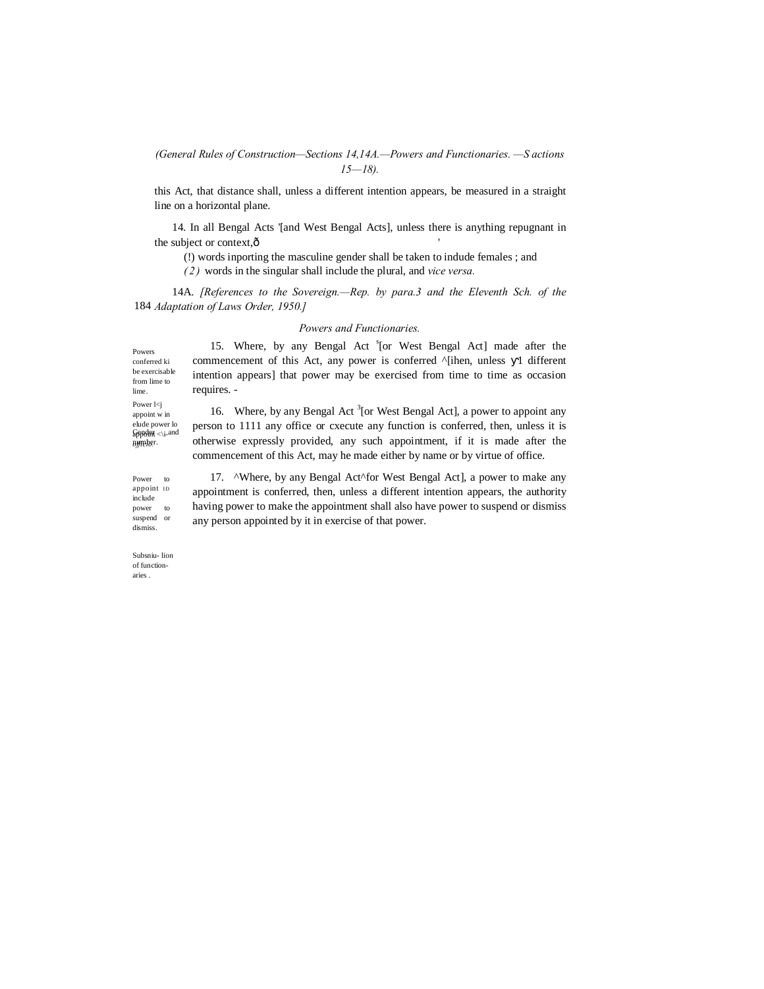*(General Rules of Construction—Sections 14,14A.—Powers and Functionaries. —S actions 15—18).*

this Act, that distance shall, unless a different intention appears, be measured in a straight line on a horizontal plane.

14. In all Bengal Acts '[and West Bengal Acts], unless there is anything repugnant in the subject or context, $\hat{o}$ 

(!) words inporting the masculine gender shall be taken to indude females ; and

*( 2 )* words in the singular shall include the plural, and *vice versa.*

184 *Adaptation of Laws Order, 1950.]* 14A. *[References to the Sovereign.—Rep. by para.3 and the Eleventh Sch. of the* 

#### *Powers and Functionaries.*

15. Where, by any Bengal Act '[or West Bengal Act] made after the commencement of this Act, any power is conferred  $^{\circ}$ [ihen, unless 1 different intention appears] that power may be exercised from time to time as occasion requires. -

 $Gepbsk$ <sub>H</sub> $\langle \rangle$ <sub>i-</sub>and number. *officio.* Power l<j appoint w in elude power lo

Power to appoint ID include power to suspend or dismiss.

Powers conferred ki be exercisable from lime to lime.

> 16. Where, by any Bengal Act<sup>3</sup> [or West Bengal Act], a power to appoint any person to 1111 any office or cxecute any function is conferred, then, unless it is otherwise expressly provided, any such appointment, if it is made after the commencement of this Act, may he made either by name or by virtue of office.

17. ^Where, by any Bengal Act^for West Bengal Act], a power to make any appointment is conferred, then, unless a different intention appears, the authority having power to make the appointment shall also have power to suspend or dismiss any person appointed by it in exercise of that power.

Subsniu- lion of functionaries .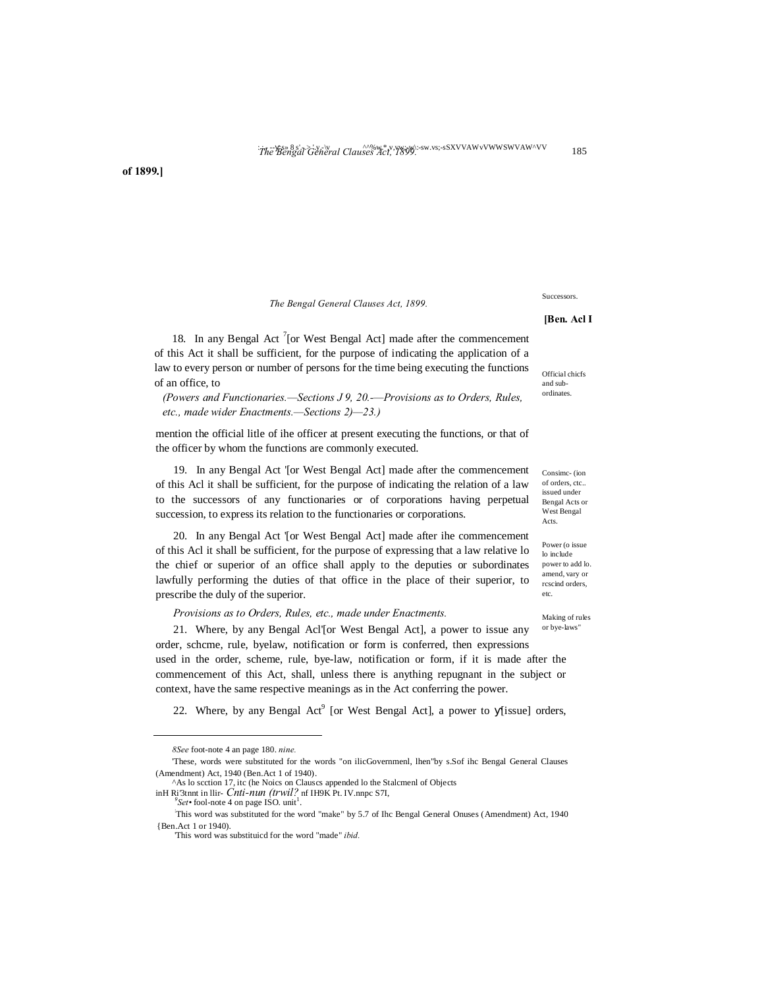**of 1899.]**

*The Bengal General Clauses Act, 1899.*

18. In any Bengal Act  $\frac{7}{1}$  [or West Bengal Act] made after the commencement of this Act it shall be sufficient, for the purpose of indicating the application of a law to every person or number of persons for the time being executing the functions of an office, to

*(Powers and Functionaries.—Sections J 9, 20.-—Provisions as to Orders, Rules, etc., made wider Enactments.—Sections 2)—23.)*

mention the official litle of ihe officer at present executing the functions, or that of the officer by whom the functions are commonly executed.

19. In any Bengal Act '[or West Bengal Act] made after the commencement of this Acl it shall be sufficient, for the purpose of indicating the relation of a law to the successors of any functionaries or of corporations having perpetual succession, to express its relation to the functionaries or corporations.

20. In any Bengal Act '[or West Bengal Act] made after ihe commencement of this Acl it shall be sufficient, for the purpose of expressing that a law relative lo the chief or superior of an office shall apply to the deputies or subordinates lawfully performing the duties of that office in the place of their superior, to prescribe the duly of the superior.

*Provisions as to Orders, Rules, etc., made under Enactments.*

21. Where, by any Bengal Acl'[or West Bengal Act], a power to issue any order, schcme, rule, byelaw, notification or form is conferred, then expressions used in the order, scheme, rule, bye-law, notification or form, if it is made after the commencement of this Act, shall, unless there is anything repugnant in the subject or context, have the same respective meanings as in the Act conferring the power.

22. Where, by any Bengal Act<sup>9</sup> [or West Bengal Act], a power to [issue] orders,

-

Official chicfs and subordinates.

of orders, ctc.. issued under Bengal Acts or West Bengal Acts.

Consimc- (ion

Power (o issue lo include power to add lo. amend, vary or rcscind orders, etc.

Making of rules or bye-laws"

Successors.

**[Ben. Acl I**

*<sup>8</sup>See* foot-note 4 an page 180. *nine.*

<sup>&#</sup>x27;These, words were substituted for the words "on ilicGovernmenl, lhen"by s.Sof ihc Bengal General Clauses (Amendment) Act, 1940 (Ben.Act 1 of 1940).

<sup>^</sup>As lo scction 17, itc (he Noics on Clauscs appended lo the Stalcmenl of Objects

inH Ri'3tnnt in llir- *Cnti-nun (trwil?* nf IH9K Pt. IV.nnpc S7I, *<sup>9</sup>* .

<sup>&</sup>lt;sup>9</sup>Set• fool-note 4 on page ISO. unit<sup>1</sup>

<sup>:</sup> This word was substituted for the word "make" by 5.7 of Ihc Bengal General Onuses (Amendment) Act, 1940 {Ben.Act 1 or 1940).

<sup>&#</sup>x27;This word was substituicd for the word "made" *ibid.*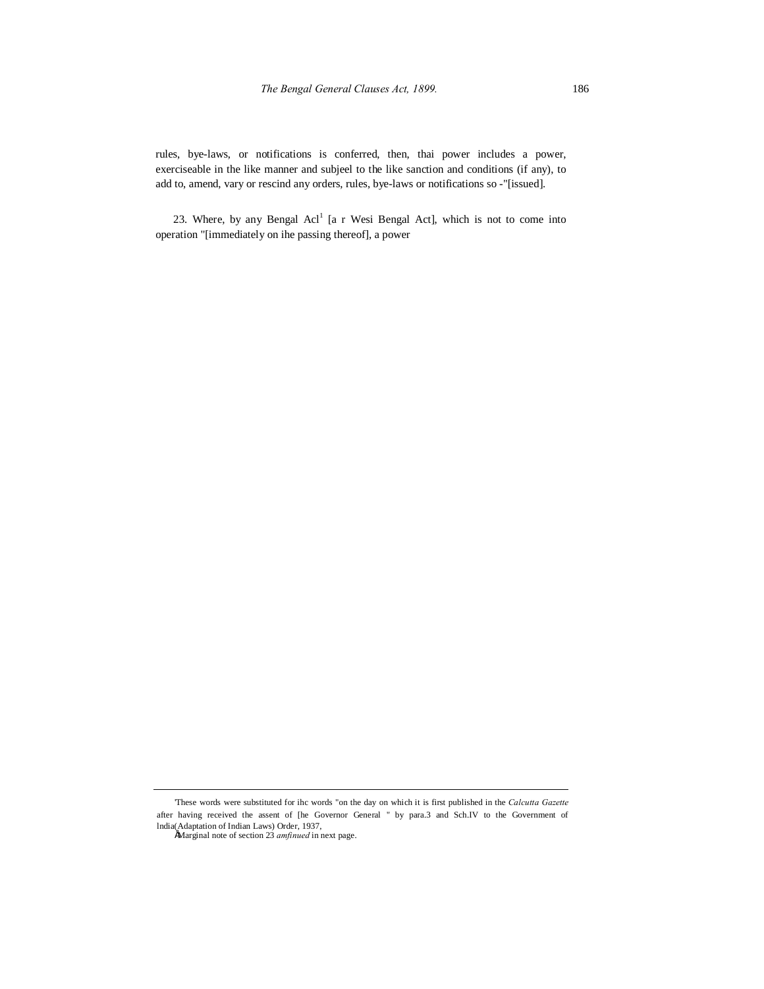rules, bye-laws, or notifications is conferred, then, thai power includes a power, exerciseable in the like manner and subjeel to the like sanction and conditions (if any), to add to, amend, vary or rescind any orders, rules, bye-laws or notifications so -"[issued].

23. Where, by any Bengal Acl<sup>1</sup> [a r Wesi Bengal Act], which is not to come into operation "[immediately on ihe passing thereof], a power

 <sup>&#</sup>x27;These words were substituted for ihc words "on the day on which it is first published in the *Calcutta Gazette* after having received the assent of [he Governor General " by para.3 and Sch.IV to the Government of lndia(Adaptation of Indian Laws) Order, 1937, •Marginal note of section 23 *amfinued* in next page.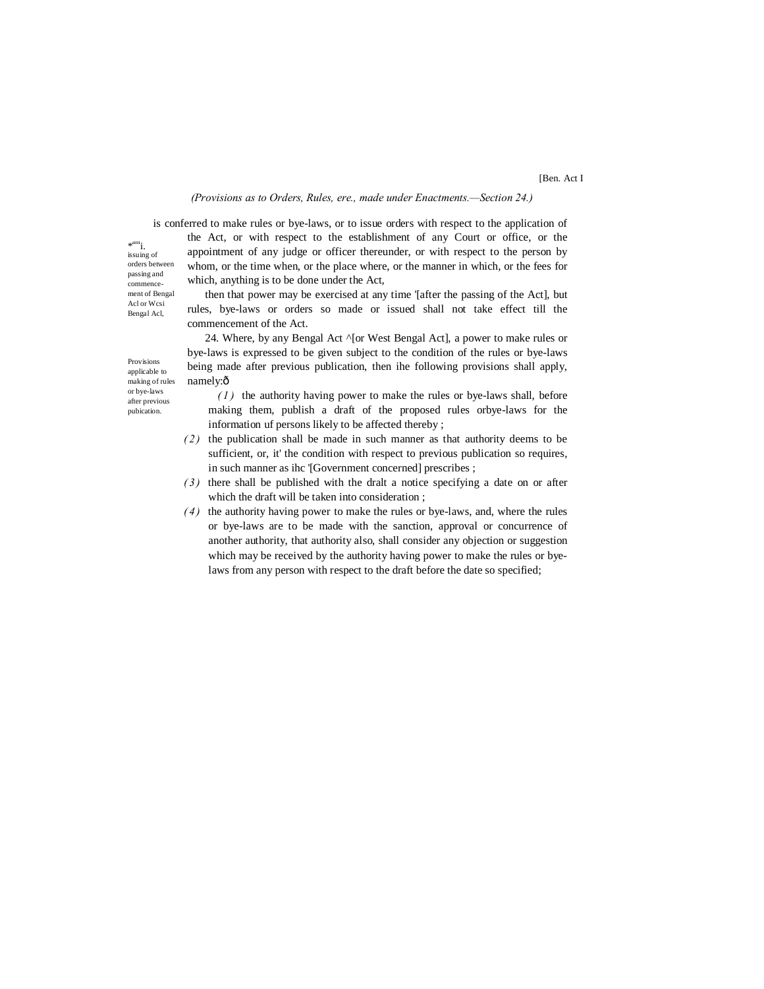#### [Ben. Act I

## *(Provisions as to Orders, Rules, ere., made under Enactments.—Section 24.)*

is conferred to make rules or bye-laws, or to issue orders with respect to the application of

 $*^{\text{ant}}$ i. issuing of orders between passing and commencement of Bengal Acl or Wcsi Bengal Acl,

the Act, or with respect to the establishment of any Court or office, or the appointment of any judge or officer thereunder, or with respect to the person by whom, or the time when, or the place where, or the manner in which, or the fees for which, anything is to be done under the Act, then that power may be exercised at any time '[after the passing of the Act], but

rules, bye-laws or orders so made or issued shall not take effect till the commencement of the Act.

24. Where, by any Bengal Act ^[or West Bengal Act], a power to make rules or bye-laws is expressed to be given subject to the condition of the rules or bye-laws being made after previous publication, then ihe following provisions shall apply, namely:ô

- *( 1 )* the authority having power to make the rules or bye-laws shall, before making them, publish a draft of the proposed rules orbye-laws for the information uf persons likely to be affected thereby ;
- *( 2 )* the publication shall be made in such manner as that authority deems to be sufficient, or, it' the condition with respect to previous publication so requires, in such manner as ihc '[Government concerned] prescribes ;
- *( 3 )* there shall be published with the dralt a notice specifying a date on or after which the draft will be taken into consideration ;
- *( 4 )* the authority having power to make the rules or bye-laws, and, where the rules or bye-laws are to be made with the sanction, approval or concurrence of another authority, that authority also, shall consider any objection or suggestion which may be received by the authority having power to make the rules or byelaws from any person with respect to the draft before the date so specified;

Provisions applicable to making of rules or bye-laws after previous pubication.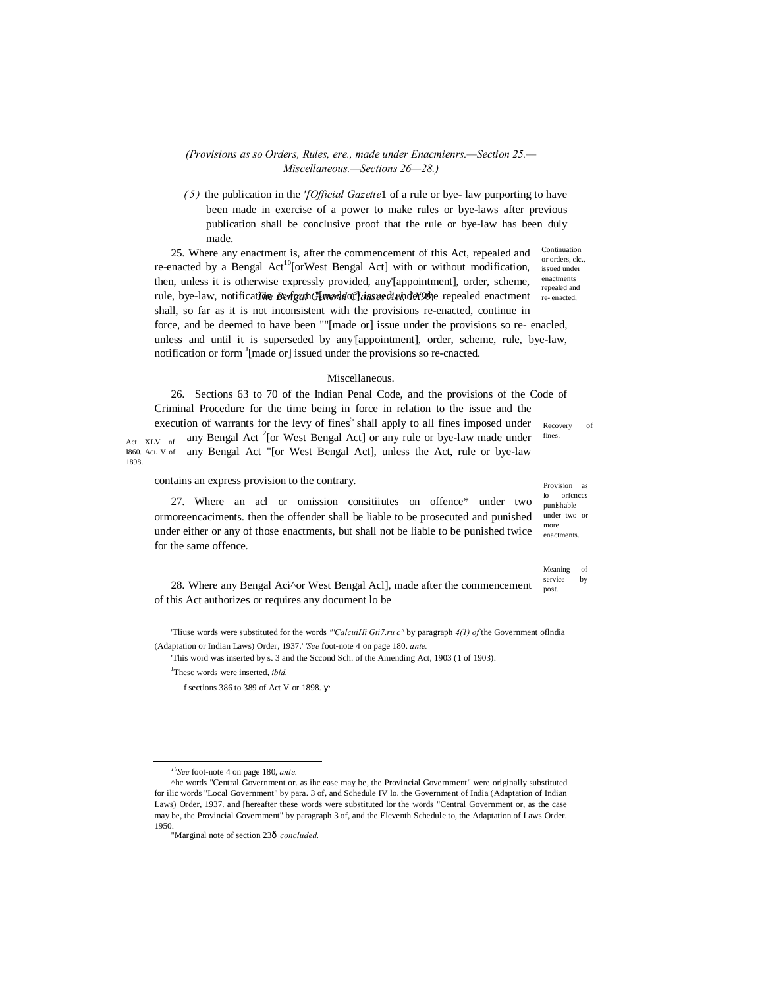## *(Provisions as so Orders, Rules, ere., made under Enacmienrs.—Section 25.— Miscellaneous.—Sections 26—28.)*

*( 5 )* the publication in the *'[Official Gazette*1 of a rule or bye- law purporting to have been made in exercise of a power to make rules or bye-laws after previous publication shall be conclusive proof that the rule or bye-law has been duly made.

rule, bye-law, notification *Bengan Clamadd Classued under 99* e repealed enactment Continuation re- enacted, 25. Where any enactment is, after the commencement of this Act, repealed and re-enacted by a Bengal  $Act^{10}$ [orWest Bengal Act] with or without modification, then, unless it is otherwise expressly provided, any'[appointment], order, scheme, shall, so far as it is not inconsistent with the provisions re-enacted, continue in force, and be deemed to have been ""[made or] issue under the provisions so re- enacled, unless and until it is superseded by any'[appointment], order, scheme, rule, bye-law, notification or form <sup>J</sup>[made or] issued under the provisions so re-cnacted.

#### Miscellaneous.

26. Sections 63 to 70 of the Indian Penal Code, and the provisions of the Code of Criminal Procedure for the time being in force in relation to the issue and the

Recovery Act XLV nf any Bengal Act<sup>2</sup> [or West Bengal Act] or any rule or bye-law made under fines. I860. ACL V of 1898. execution of warrants for the levy of fines<sup>5</sup> shall apply to all fines imposed under any Bengal Act "[or West Bengal Act], unless the Act, rule or bye-law

contains an express provision to the contrary.

27. Where an acl or omission consitiiutes on offence\* under two ormoreencaciments. then the offender shall be liable to be prosecuted and punished under either or any of those enactments, but shall not be liable to be punished twice for the same offence.

28. Where any Bengal Aci^or West Bengal Acl], made after the commencement of this Act authorizes or requires any document lo be

'Tliuse words were substituted for the words *"'CalcuiHi Gti7.ru c"* by paragraph *4(1) of* the Government oflndia (Adaptation or Indian Laws) Order, 1937.' *'See* foot-note 4 on page 180. *ante.*

'This word was inserted by s. 3 and the Sccond Sch. of the Amending Act, 1903 (1 of 1903). J Thesc words were inserted, *ibid.*

f sections 386 to 389 of Act V or 1898.

Provision as lo orfcnccs punishable under two or more enactments.

Meaning of service by post.

or orders, clc., issued under enactments repealed and

*10See* foot-note 4 on page 180, *ante.*

<sup>^</sup>hc words "Central Government or. as ihc ease may be, the Provincial Government" were originally substituted for ilic words "Local Government" by para. 3 of, and Schedule IV lo. the Government of India (Adaptation of Indian Laws) Order, 1937. and [hereafter these words were substituted lor the words "Central Government or, as the case may be, the Provincial Government" by paragraph 3 of, and the Eleventh Schedule to, the Adaptation of Laws Order. 1950.

<sup>&</sup>quot;Marginal note of section 23—*concluded.*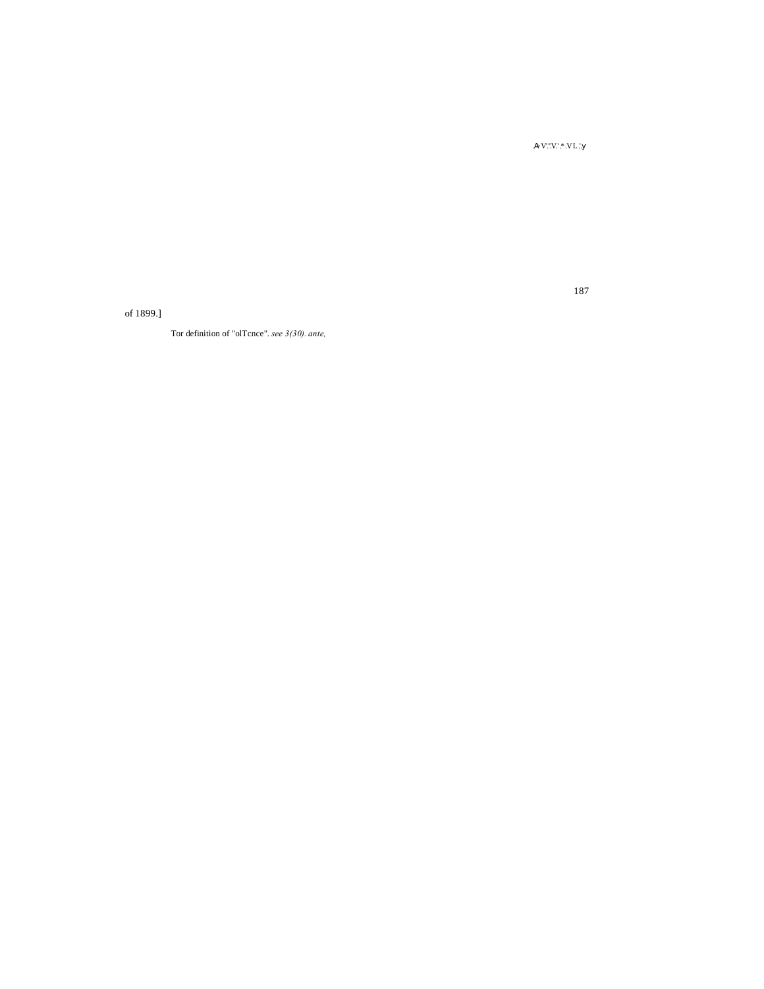$\bigoplus V\,{}^\ast\! .V\!{}^\ast\, {}^\ast\! .V\! L \,{}^\ast\! .$ 

of 1899.]

Tor definition of "olTcnce". *see 3(30). ante,*

187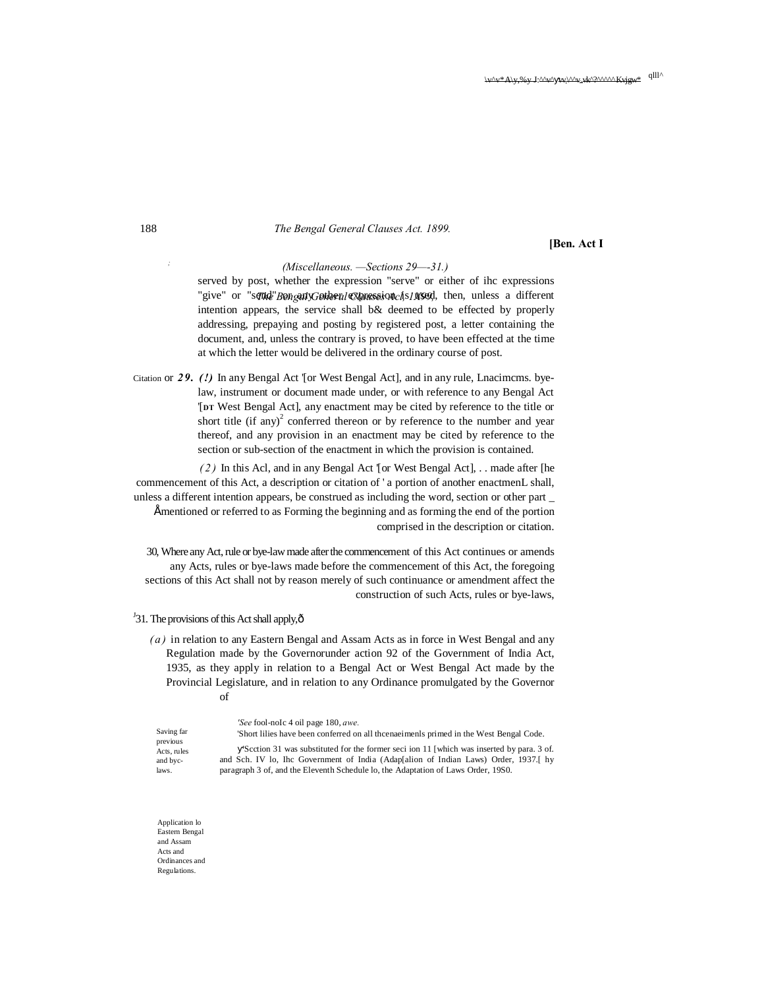## 188 *The Bengal General Clauses Act. 1899.*

**[Ben. Act I**

## *; (Miscellaneous. —Sections 29—-31.)*

"give" or "settide" BengatlyGetheral Connession chs/N999, then, unless a different served by post, whether the expression "serve" or either of ihc expressions intention appears, the service shall b& deemed to be effected by properly addressing, prepaying and posting by registered post, a letter containing the document, and, unless the contrary is proved, to have been effected at the time at which the letter would be delivered in the ordinary course of post.

Citation or 29. (!) In any Bengal Act '[or West Bengal Act], and in any rule, Lnacimcms. byelaw, instrument or document made under, or with reference to any Bengal Act '[**DT** West Bengal Act], any enactment may be cited by reference to the title or short title (if any)<sup>2</sup> conferred thereon or by reference to the number and year thereof, and any provision in an enactment may be cited by reference to the section or sub-section of the enactment in which the provision is contained.

*( 2 )* In this Acl, and in any Bengal Act '[or West Bengal Act], . . made after [he commencement of this Act, a description or citation of ' a portion of another enactmenL shall, unless a different intention appears, be construed as including the word, section or other part \_  $Émentioned$  or referred to as Forming the beginning and as forming the end of the portion comprised in the description or citation.

30, Where any Act, rule or bye-law made after the commencement of this Act continues or amends any Acts, rules or bye-laws made before the commencement of this Act, the foregoing sections of this Act shall not by reason merely of such continuance or amendment affect the construction of such Acts, rules or bye-laws,

## $J_3$ 1. The provisions of this Act shall apply, $\hat{\text{o}}$

*( a )* in relation to any Eastern Bengal and Assam Acts as in force in West Bengal and any Regulation made by the Governorunder action 92 of the Government of India Act, 1935, as they apply in relation to a Bengal Act or West Bengal Act made by the Provincial Legislature, and in relation to any Ordinance promulgated by the Governor of

|                                     | 'See fool-noIc 4 oil page 180, awe.                                                                                                                                               |
|-------------------------------------|-----------------------------------------------------------------------------------------------------------------------------------------------------------------------------------|
| Saving far                          | Short lilies have been conferred on all the enaeiments primed in the West Bengal Code.                                                                                            |
| previous<br>Acts, rules<br>and byc- | Section 31 was substituted for the former sect ion 11 [which was inserted by para, 3 of.<br>and Sch. IV lo, Inc Government of India (Adap alion of Indian Laws) Order, 1937. [ hy |
| laws.                               | paragraph 3 of, and the Eleventh Schedule lo, the Adaptation of Laws Order, 1980.                                                                                                 |

Application lo Eastern Bengal and Assam Acts and Ordinances and Regulations.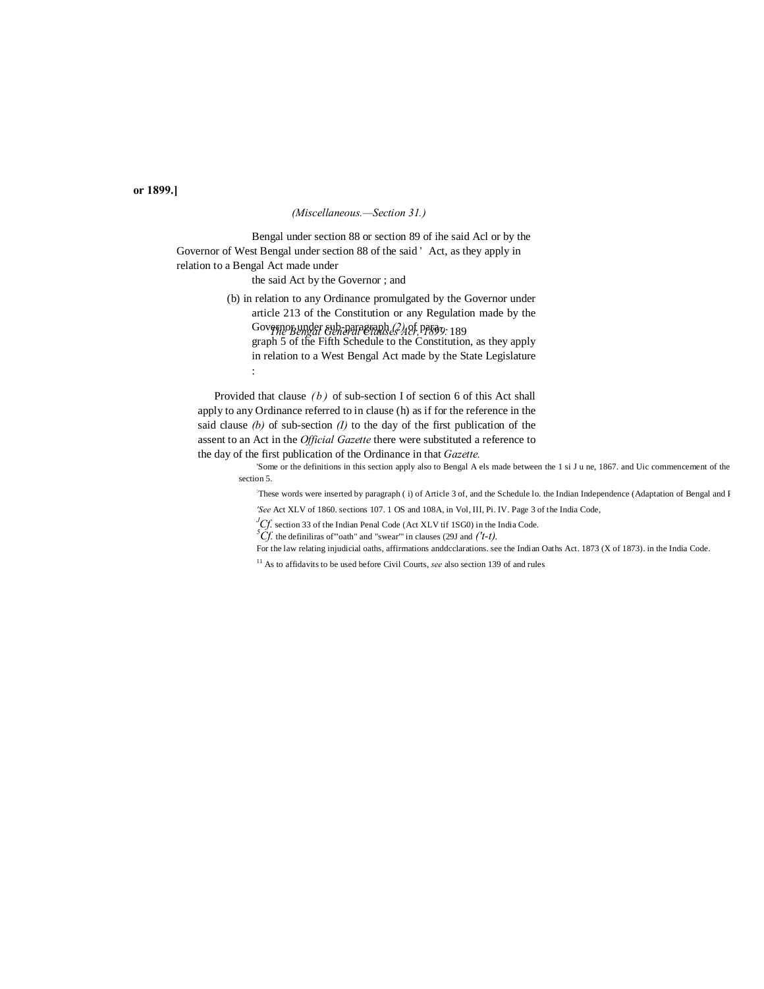**or 1899.]**

## *(Miscellaneous.—Section 31.)*

Bengal under section 88 or section 89 of ihe said Acl or by the Governor of West Bengal under section 88 of the said ' Act, as they apply in relation to a Bengal Act made under

the said Act by the Governor ; and

*The Bengal General Clauses Acr, 1899.* 189 Governor under sub-paragraph *(2)* of para- . (b) in relation to any Ordinance promulgated by the Governor under article 213 of the Constitution or any Regulation made by the graph 5 of the Fifth Schedule to the Constitution, as they apply

in relation to a West Bengal Act made by the State Legislature :

Provided that clause *(b)* of sub-section I of section 6 of this Act shall apply to any Ordinance referred to in clause (h) as if for the reference in the said clause *(b)* of sub-section *(I)* to the day of the first publication of the assent to an Act in the *Official Gazette* there were substituted a reference to the day of the first publication of the Ordinance in that *Gazette.*

> 'Some or the definitions in this section apply also to Bengal A els made between the 1 si J u ne, 1867. and Uic commencement of the section 5.

These words were inserted by paragraph (i) of Article 3 of, and the Schedule lo. the Indian Independence (Adaptation of Bengal and I

*'See* Act XLV of 1860. sections 107. 1 OS and 108A, in Vol, III, Pi. IV. Page 3 of the India Code,

*J Cf.* section 33 of the Indian Penal Code (Act XLV tif 1SG0) in the India Code. *<sup>5</sup> Cf.* the definiliras of'"oath" and "swear"' in clauses (29J and *('t-t).*

For the law relating injudicial oaths, affirmations anddcclarations. see the Indian Oaths Act. 1873 (X of 1873). in the India Code.

<sup>11</sup> As to affidavits to be used before Civil Courts, *see* also section 139 of and rules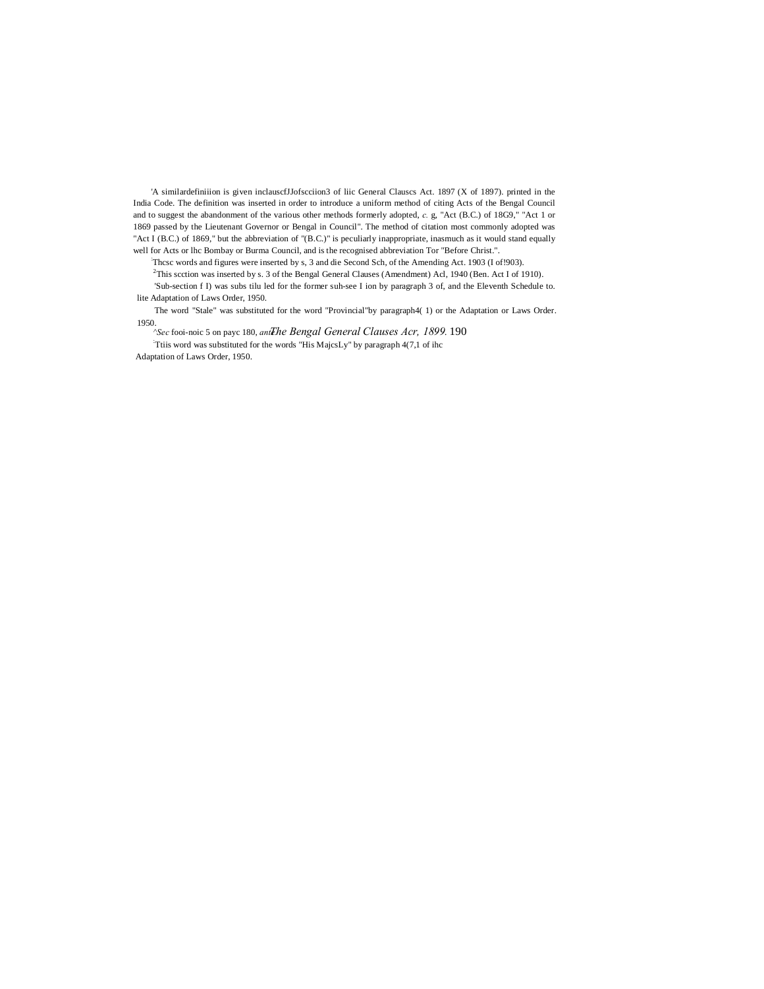'A similardefiniiion is given inclauscfJJofscciion3 of liic General Clauscs Act. 1897 (X of 1897). printed in the India Code. The definition was inserted in order to introduce a uniform method of citing Acts of the Bengal Council and to suggest the abandonment of the various other methods formerly adopted, *c.* g, "Act (B.C.) of 18G9," "Act 1 or 1869 passed by the Lieutenant Governor or Bengal in Council". The method of citation most commonly adopted was "Act I (B.C.) of 1869," but the abbreviation of "(B.C.)" is peculiarly inappropriate, inasmuch as it would stand equally well for Acts or lhc Bombay or Burma Council, and is the recognised abbreviation Tor "Before Christ.".

: Thcsc words and figures were inserted by s, 3 and die Second Sch, of the Amending Act. 1903 (I of!903).

<sup>2</sup>This scction was inserted by s. 3 of the Bengal General Clauses (Amendment) Acl, 1940 (Ben. Act I of 1910).

'Sub-section f I) was subs tilu led for the former suh-see I ion by paragraph 3 of, and the Eleventh Schedule to. lite Adaptation of Laws Order, 1950.

The word "Stale" was substituted for the word "Provincial"by paragraph4( 1) or the Adaptation or Laws Order. 1950.

*<i><u>Sec* fooi-noic 5 on payc 180, *antthe Bengal General Clauses Acr, 1899*. 190</u> : Ttiis word was substituted for the words "His MajcsLy" by paragraph 4(7,1 of ihc

Adaptation of Laws Order, 1950.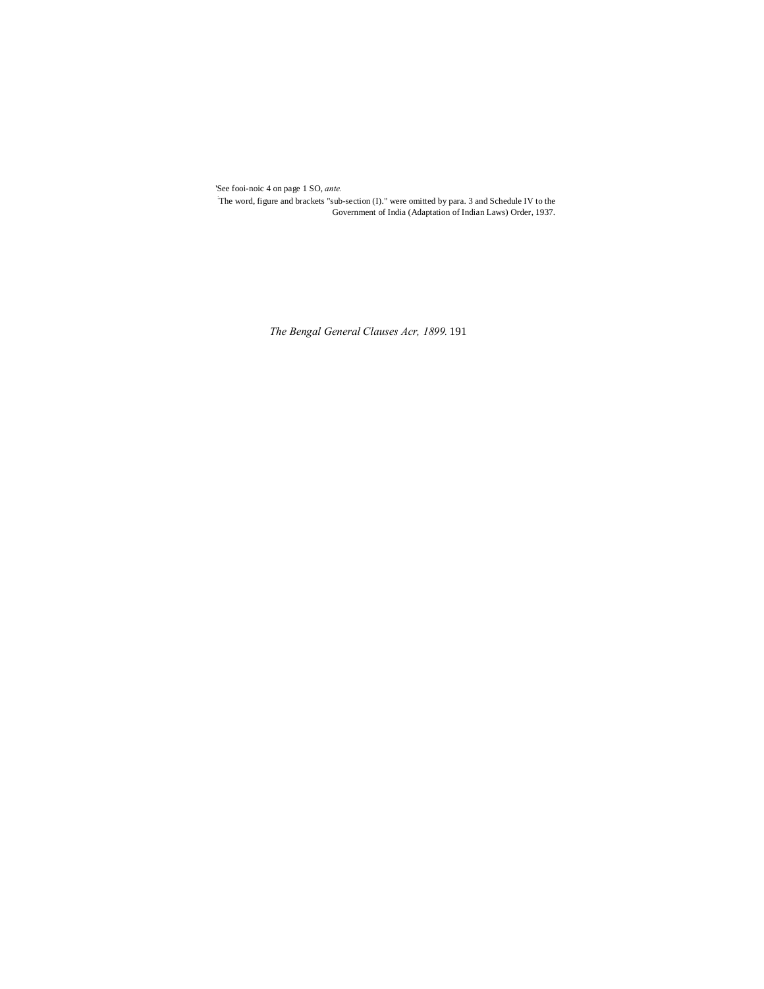'See fooi-noic 4 on page 1 SO, *ante.*

: The word, figure and brackets "sub-section (I)." were omitted by para. 3 and Schedule IV to the Government of India (Adaptation of Indian Laws) Order, 1937.

*The Bengal General Clauses Acr, 1899.* 191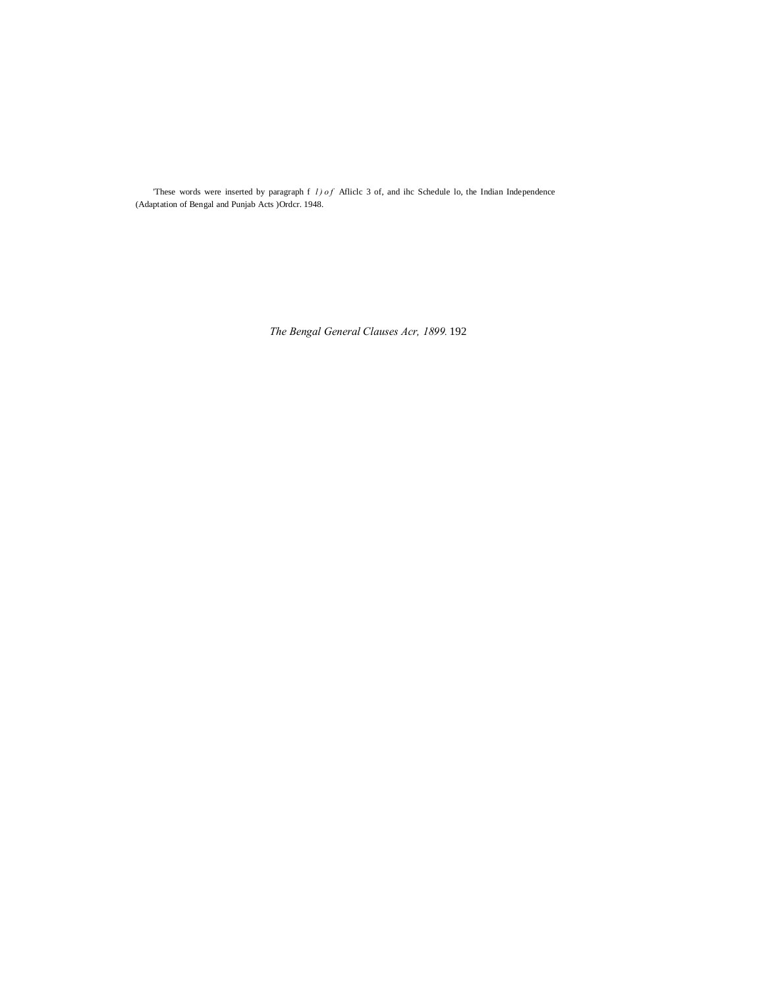'These words were inserted by paragraph f *l) of* Afliclc 3 of, and ihc Schedule lo, the Indian Independence (Adaptation of Bengal and Punjab Acts )Ordcr. 1948.

*The Bengal General Clauses Acr, 1899.* 192